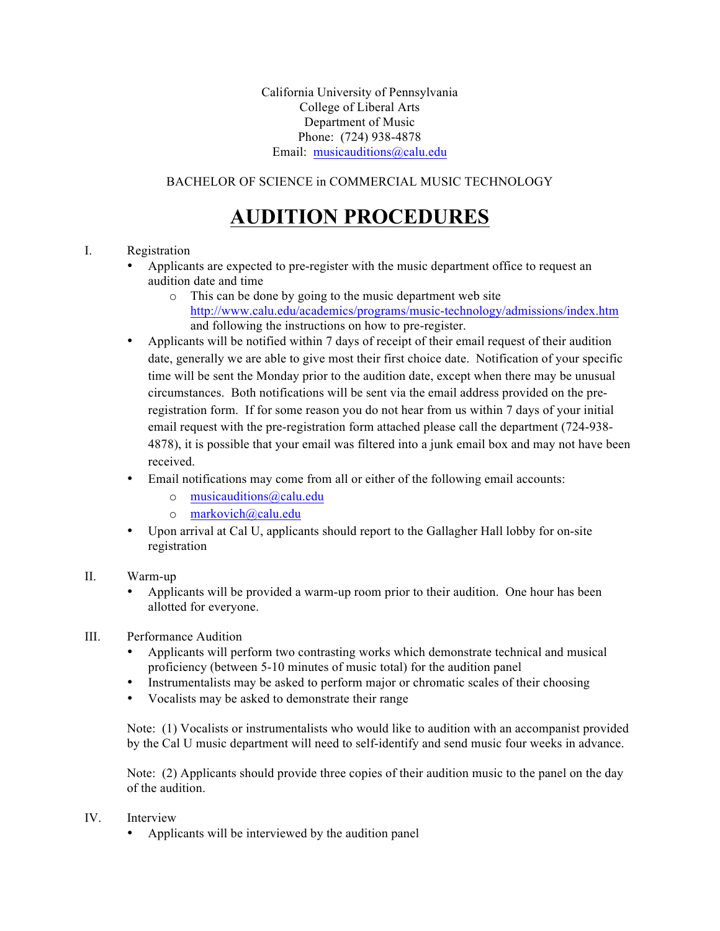California University of Pennsylvania College of Liberal Arts Department of Music Phone: (724) 938-4878 Email: musicauditions@calu.edu

### BACHELOR OF SCIENCE in COMMERCIAL MUSIC TECHNOLOGY

## **AUDITION PROCEDURES**

#### I. Registration

- Applicants are expected to pre-register with the music department office to request an audition date and time
	- o This can be done by going to the music department web site http://www.calu.edu/academics/programs/music-technology/admissions/index.htm and following the instructions on how to pre-register.
- Applicants will be notified within 7 days of receipt of their email request of their audition date, generally we are able to give most their first choice date. Notification of your specific time will be sent the Monday prior to the audition date, except when there may be unusual circumstances. Both notifications will be sent via the email address provided on the preregistration form. If for some reason you do not hear from us within 7 days of your initial email request with the pre-registration form attached please call the department (724-938- 4878), it is possible that your email was filtered into a junk email box and may not have been received.
- Email notifications may come from all or either of the following email accounts:
	- o musicauditions@calu.edu
	- o markovich@calu.edu
- Upon arrival at Cal U, applicants should report to the Gallagher Hall lobby for on-site registration

#### II. Warm-up

• Applicants will be provided a warm-up room prior to their audition. One hour has been allotted for everyone.

#### III. Performance Audition

- Applicants will perform two contrasting works which demonstrate technical and musical proficiency (between 5-10 minutes of music total) for the audition panel
- Instrumentalists may be asked to perform major or chromatic scales of their choosing
- Vocalists may be asked to demonstrate their range

Note: (1) Vocalists or instrumentalists who would like to audition with an accompanist provided by the Cal U music department will need to self-identify and send music four weeks in advance.

Note: (2) Applicants should provide three copies of their audition music to the panel on the day of the audition.

#### IV Interview

• Applicants will be interviewed by the audition panel